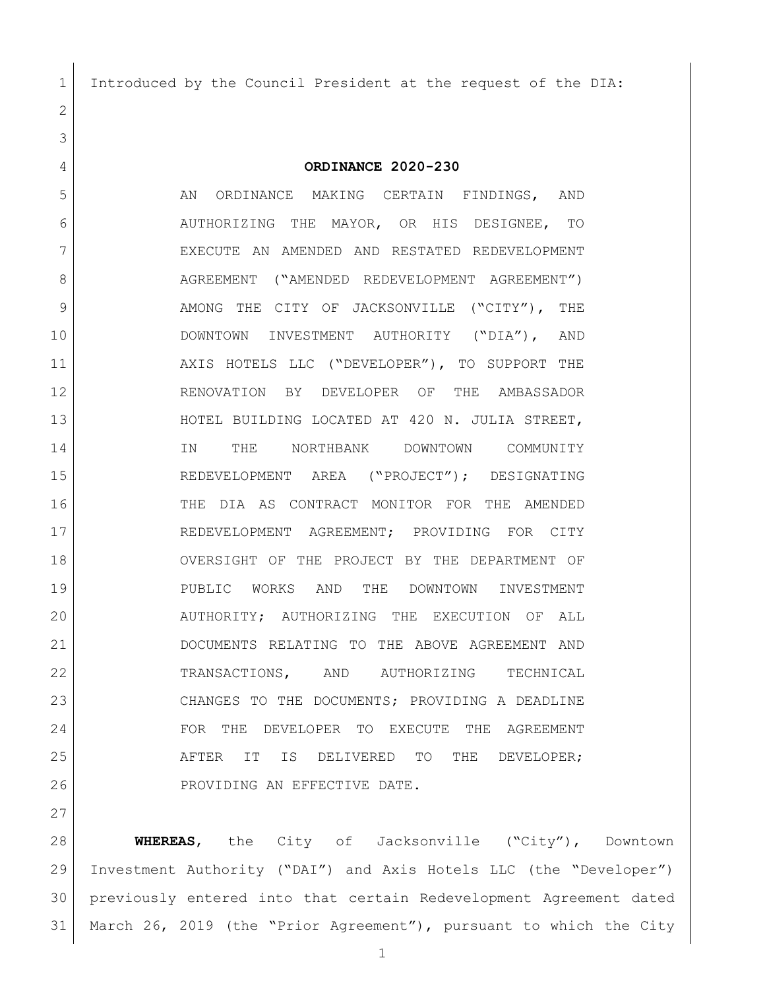Introduced by the Council President at the request of the DIA:

**ORDINANCE 2020-230**

5 AN ORDINANCE MAKING CERTAIN FINDINGS, AND AUTHORIZING THE MAYOR, OR HIS DESIGNEE, TO EXECUTE AN AMENDED AND RESTATED REDEVELOPMENT 8 | AGREEMENT ("AMENDED REDEVELOPMENT AGREEMENT") 9 AMONG THE CITY OF JACKSONVILLE ("CITY"), THE DOWNTOWN INVESTMENT AUTHORITY ("DIA"), AND 11 AXIS HOTELS LLC ("DEVELOPER"), TO SUPPORT THE RENOVATION BY DEVELOPER OF THE AMBASSADOR HOTEL BUILDING LOCATED AT 420 N. JULIA STREET, 14 IN THE NORTHBANK DOWNTOWN COMMUNITY REDEVELOPMENT AREA ("PROJECT"); DESIGNATING THE DIA AS CONTRACT MONITOR FOR THE AMENDED REDEVELOPMENT AGREEMENT; PROVIDING FOR CITY OVERSIGHT OF THE PROJECT BY THE DEPARTMENT OF PUBLIC WORKS AND THE DOWNTOWN INVESTMENT AUTHORITY; AUTHORIZING THE EXECUTION OF ALL DOCUMENTS RELATING TO THE ABOVE AGREEMENT AND TRANSACTIONS, AND AUTHORIZING TECHNICAL CHANGES TO THE DOCUMENTS; PROVIDING A DEADLINE FOR THE DEVELOPER TO EXECUTE THE AGREEMENT AFTER IT IS DELIVERED TO THE DEVELOPER; 26 PROVIDING AN EFFECTIVE DATE.

 **WHEREAS**, the City of Jacksonville ("City"), Downtown Investment Authority ("DAI") and Axis Hotels LLC (the "Developer") previously entered into that certain Redevelopment Agreement dated March 26, 2019 (the "Prior Agreement"), pursuant to which the City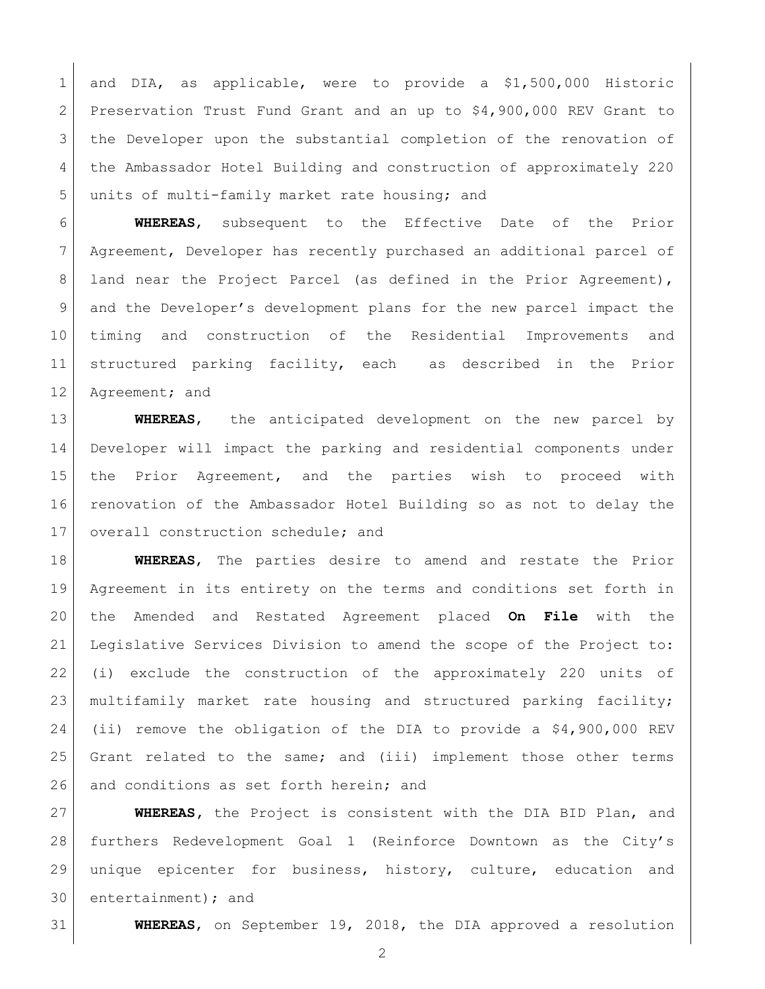1 and DIA, as applicable, were to provide a \$1,500,000 Historic Preservation Trust Fund Grant and an up to \$4,900,000 REV Grant to the Developer upon the substantial completion of the renovation of the Ambassador Hotel Building and construction of approximately 220 5 units of multi-family market rate housing; and

 **WHEREAS**, subsequent to the Effective Date of the Prior Agreement, Developer has recently purchased an additional parcel of 8 | land near the Project Parcel (as defined in the Prior Agreement), and the Developer's development plans for the new parcel impact the timing and construction of the Residential Improvements and structured parking facility, each as described in the Prior 12 Agreement; and

 **WHEREAS**, the anticipated development on the new parcel by Developer will impact the parking and residential components under the Prior Agreement, and the parties wish to proceed with renovation of the Ambassador Hotel Building so as not to delay the 17 | overall construction schedule; and

 **WHEREAS**, The parties desire to amend and restate the Prior Agreement in its entirety on the terms and conditions set forth in the Amended and Restated Agreement placed **On File** with the Legislative Services Division to amend the scope of the Project to: (i) exclude the construction of the approximately 220 units of multifamily market rate housing and structured parking facility; (ii) remove the obligation of the DIA to provide a \$4,900,000 REV Grant related to the same; and (iii) implement those other terms 26 and conditions as set forth herein; and

 **WHEREAS,** the Project is consistent with the DIA BID Plan, and furthers Redevelopment Goal 1 (Reinforce Downtown as the City's unique epicenter for business, history, culture, education and entertainment); and

**WHEREAS**, on September 19, 2018, the DIA approved a resolution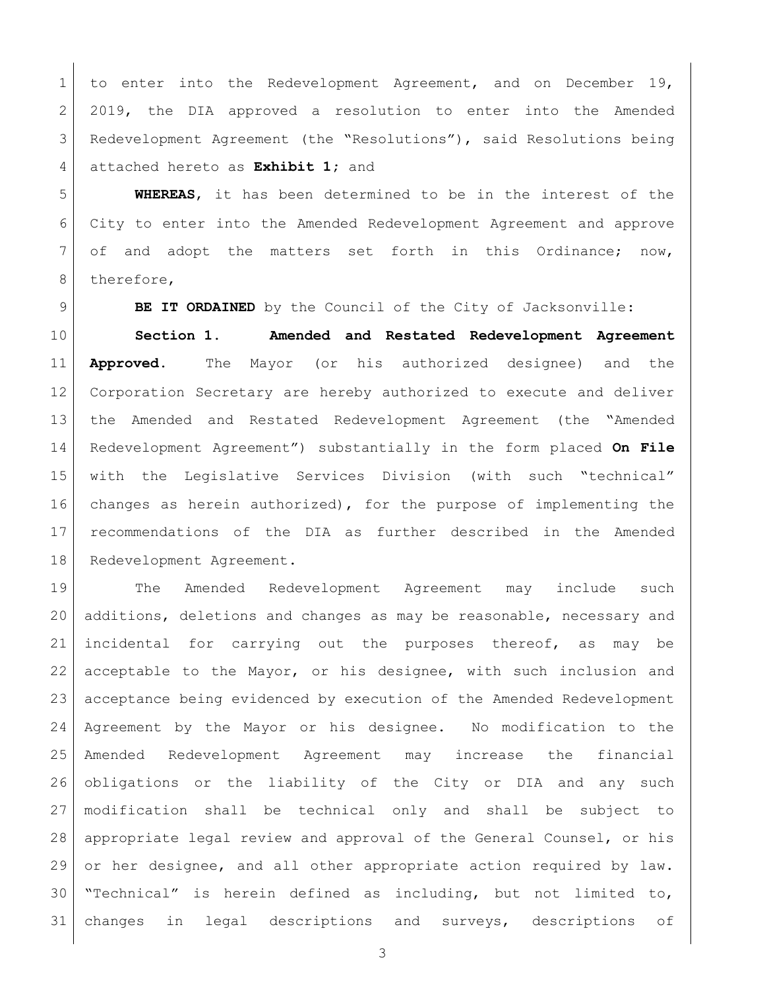to enter into the Redevelopment Agreement, and on December 19, 2019, the DIA approved a resolution to enter into the Amended Redevelopment Agreement (the "Resolutions"), said Resolutions being attached hereto as **Exhibit 1;** and

 **WHEREAS**, it has been determined to be in the interest of the City to enter into the Amended Redevelopment Agreement and approve of and adopt the matters set forth in this Ordinance; now, 8 therefore,

**BE IT ORDAINED** by the Council of the City of Jacksonville:

 **Section 1. Amended and Restated Redevelopment Agreement Approved.** The Mayor (or his authorized designee) and the Corporation Secretary are hereby authorized to execute and deliver the Amended and Restated Redevelopment Agreement (the "Amended Redevelopment Agreement") substantially in the form placed **On File** with the Legislative Services Division (with such "technical" changes as herein authorized), for the purpose of implementing the recommendations of the DIA as further described in the Amended 18 | Redevelopment Agreement.

 The Amended Redevelopment Agreement may include such additions, deletions and changes as may be reasonable, necessary and incidental for carrying out the purposes thereof, as may be acceptable to the Mayor, or his designee, with such inclusion and acceptance being evidenced by execution of the Amended Redevelopment Agreement by the Mayor or his designee. No modification to the Amended Redevelopment Agreement may increase the financial obligations or the liability of the City or DIA and any such modification shall be technical only and shall be subject to 28 appropriate legal review and approval of the General Counsel, or his or her designee, and all other appropriate action required by law. "Technical" is herein defined as including, but not limited to, changes in legal descriptions and surveys, descriptions of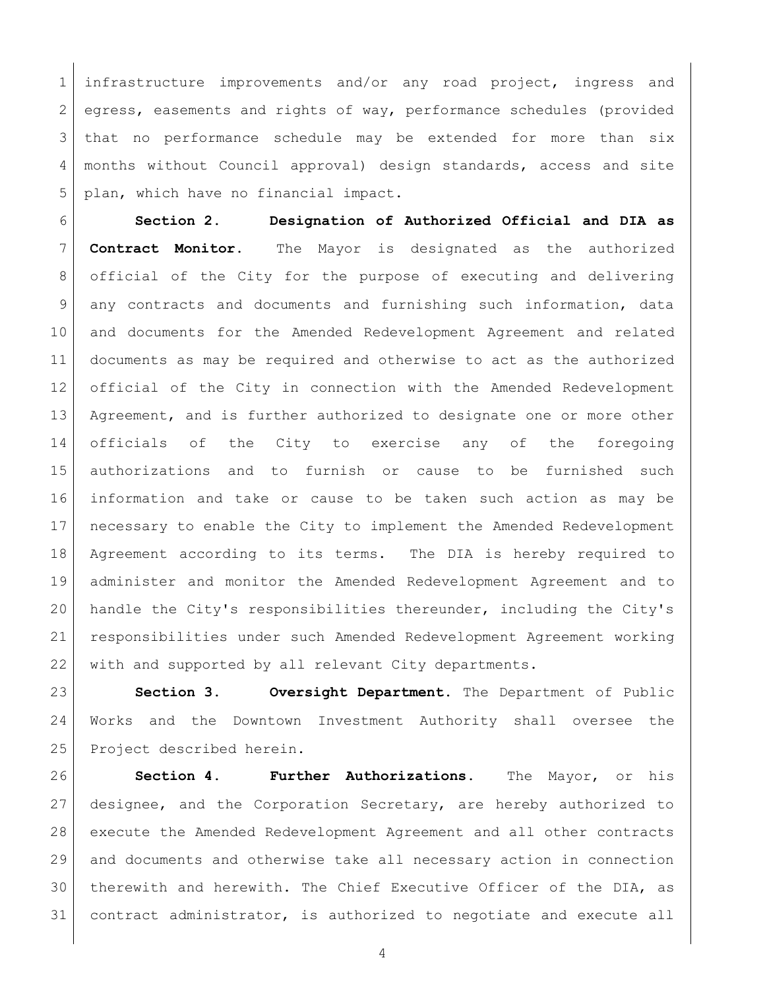infrastructure improvements and/or any road project, ingress and 2 egress, easements and rights of way, performance schedules (provided that no performance schedule may be extended for more than six months without Council approval) design standards, access and site plan, which have no financial impact.

 **Section 2. Designation of Authorized Official and DIA as Contract Monitor.** The Mayor is designated as the authorized official of the City for the purpose of executing and delivering any contracts and documents and furnishing such information, data and documents for the Amended Redevelopment Agreement and related documents as may be required and otherwise to act as the authorized official of the City in connection with the Amended Redevelopment 13 Agreement, and is further authorized to designate one or more other officials of the City to exercise any of the foregoing authorizations and to furnish or cause to be furnished such information and take or cause to be taken such action as may be necessary to enable the City to implement the Amended Redevelopment Agreement according to its terms. The DIA is hereby required to administer and monitor the Amended Redevelopment Agreement and to handle the City's responsibilities thereunder, including the City's responsibilities under such Amended Redevelopment Agreement working 22 with and supported by all relevant City departments.

 **Section 3. Oversight Department.** The Department of Public Works and the Downtown Investment Authority shall oversee the 25 Project described herein.

 **Section 4. Further Authorizations.** The Mayor, or his designee, and the Corporation Secretary, are hereby authorized to execute the Amended Redevelopment Agreement and all other contracts and documents and otherwise take all necessary action in connection therewith and herewith. The Chief Executive Officer of the DIA, as contract administrator, is authorized to negotiate and execute all